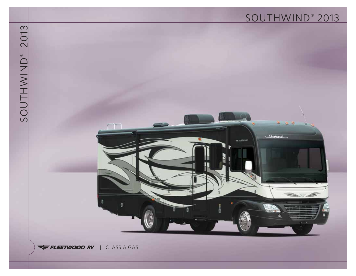# SOUTHWIND ® 2013

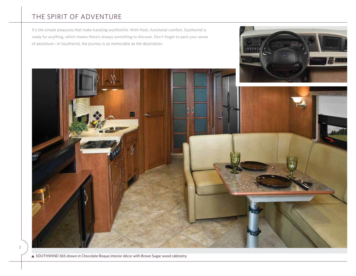# THE SPIRIT OF ADVENTURE

It's the simple pleasures that make traveling worthwhile. With fresh, functional comfort, Southwind is ready for anything, which means there's always something to discover. Don't forget to pack your sense of adventure—in Southwind, the journey is as memorable as the destination.



2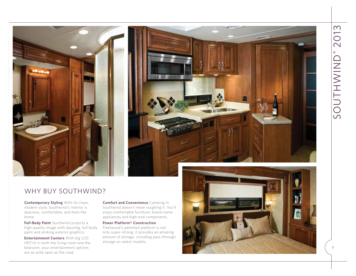



are as wide open as the road.

**Comfort and Convenience** Camping in Southwind doesn't mean roughing it. You'll enjoy comfortable furniture, brand-name appliances and high-end components.

**Power Platform® Construction**Fleetwood's patented platform is not only super-strong, it provides an amazing amount of storage, including pass-through storage on select models.

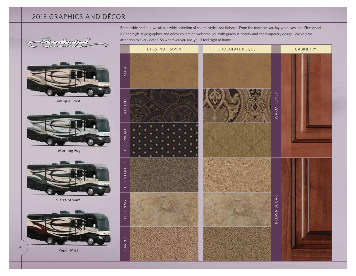# 2013 GRAPHICS AND DÉCOR





Antique Frost



Morning Fog



Sierra Stream



Vapor Mist

 $\overline{A}$ 

Both inside and out, we offer a wide selection of colors, styles and finishes. From the moment you lay your eyes on a Fleetwood RV, the high-style graphics and décor collection welcome you with gracious beauty and contemporary design. We've paid attention to every detail. So wherever you are, you'll feel right at home.

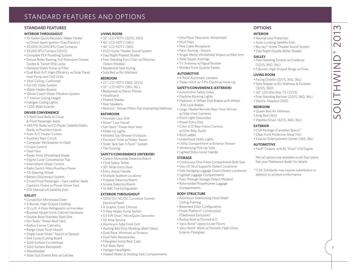# STANDARD FEATURES AND OPTIONS

## **STANDARD FEATURES**

#### **INTERIOR THROUGHOUT**

- 10-Gallon Quick Recovery Water Heater w/Direct Spark Ignition (Gas/Electric)
- 20,000/30,000 BTU Dual Furnaces
- 34,000 BTU Furnace (32VS)
- Complete PEX Plumbing System
- Deluxe Roller Bearing, Full-Extension Drawer Guides & Transit-Ship Locks
- Demand Water Pump w/Filter
- Dual Roof A/C High-Efficiency w/Solar Panel. Heat Pump and Chill Grills
- Vinyl Ceiling, Cushioned
- Full HD Video System
- Water Heater Bypass
- Whole Coach Water Filtration System
- 7' Interior Ceiling Height
- Halogen Ceiling Lights
- 1,200-Watt Inverter

### **DRIVER CONVENIENCE**

- 3-Point Seat Belts at Driver
- & Front Passenger Seats
- AM/FM Radio w/CD Player, Satellite Radio-Ready w/Auxiliary Inputs
- Auto A/C Heater Combo
- Auxiliary Start Circuit
- Computer Workstation In-Dash
- Cruise Control
- Dash Fans
- Power Front Windshield Shade
- Engine Cover Convenience Tray
- Intermittent Wiper Control
- Radio Switch Main/Auxiliary Power
- Tilt Steering Wheel
- Battery Disconnect System
- Driver/Front Passenger Faux Leather Seats Captain's Chairs w/Power Driver Seat • DSS Manual Lift Satellite Dish
- 

## **GALLEY**

- Convection Microwave Oven
- 3-Burner, High-Output Cooktop
- 12 cu.ft. 4-Door Refrigerator w/Icemaker
- Brushed-Nickel Finish Cabinet Hardware
- Double-Bowl Stainless Steel Sink
- Fan-Tastic® Power Roof Vent
- Radius Corner Cabinetry
- Range Cover Flush Mount
- Single-Lever Moen® Faucet w/Sprayer
- Sink Cover/Cutting Board
- Solid-Surface Countertops • Solid-Surface Backsplash
- Wastebasket
- Slide-Out Dinette Bins w/Latches

## **LIVING ROOM**

- 32" LCD HDTV (32VS, 36D)
- 40" LCD HDTV (36L)
- 46" LCD HDTV (36S)
- DVD Home Theater Sound System
- Day/Night Pleated Shades
- Free-Standing Euro Chair w/Ottoman
- (Select Models)
- Residential Seat Styling • Sofa Bed w/Air Mattress

#### **BEDROOM**

- 22" LCD HDTV (36D, 32VS)
- 32" LCD HDTV (36S, 36L)
- Bedspread w/Décor Pillows
- Headboard
- Pleated Shades
- Rear Speakers
- Restonic® Deluxe Pillow-Top Innerspring Mattress
- **BATHROOM**
- Porcelain Lavy Sink
- Moen® Lavy Faucet
- Fan-Tastic® Power Roof Vent
- Make-Up Lights
- Molded Tub/Shower Enclosure
- Porcelain Toilet w/Water Savers • Toilet Tank San-T-Flush™ System
- Tile Flooring

### **SAFETY/CONVENIENCE (INTERIOR)**

- Carbon Monoxide Detector/Alarm
- Child Safety Tether
- 30" Wide Entry Door
- Entry Assist Handle
- Multiple Seatbelt Locations
- Propane Detector/Alarm
- Smoke Detector/Alarm
- 10 ABC Fire Extinguisher

### **EXTERIOR THROUGHOUT**

- 120V/12V AC/DC Converter Central Electrical Panel
- 4 Graphic Color Choices
- 3-Way Water Pump Switch
- 5.5 kW Onan® MicroQuiet Generator
- 50 Amp Service
- Aluminum Tube Front Grill
- Awning Rail/Drip Molding (Both Sides)
- Dual-Pane Windows w/Screens
- Dual Patio Receptacles
- Fiberglass Front/Rear Caps
- Full-Body Paint
- Halogen Headlights
- Heated Water & Holding Tank Compartments

## **OPTIONS**

### **INTERIOR**

**GALLEY**

• One-Piece Panoramic Windshield

• Single-Motor Windshield Wipers w/Wet Arm

• Trailer Hitch w/7-Pin Electrical Hook-Up **SAFETY/CONVENIENCE (EXTERIOR)**

• Hydraulic 4-Wheel Disk Brakes w/4-Wheel

• Large, Heated Remote Rear-View Mirrors

• Utility Compartment w/Exterior Shower

• Continuous One-Piece Compartment Bulb Seal • Gas Lift Strut Supports (Select Locations) • Side Swinging Luggage Doors (Select Locations)

• Mud Flaps

• Park Cable Receptacle • Patio Awning - Electric

• Slide Topper Awnings • TV Antenna w/Signal Booster • Molded Front Quarter Panels

• 4-Point Automatic Levelers

• Automotive Safety Glass • Daytime Running Lights

Anti-Lock Brakes

w/Side-View Cameras • Porch Light (Doorside) • Power Entry Step

• Underhood Utility Lights

• Winterizing Pick-Up Tube • Lighted Entry Assist Handle

• Lighted Luggage Compartments • Pass-Through Storage (Select Models) • Rotomolded Polyethylene Luggage

• Aluminum Interlocking Floor/Wall/

• Basement Floor Configuration • Power Platform® Construction (Fleetwood Exclusive) • Radius Roof w/Ducted A/C • Vacu-Bond® Upper/Lower Floors • Vacu-Bond® Walls w/Smooth, High-Gloss

**STORAGE**

Compartments **BODY STRUCTURE**

Ceiling Framing

Exterior Fiberglass

• Color LCD Rear-Vision Camera w/One-Way Audio • Roof Ladder

**AUTOMOTIVE**

• Neutral Loss Protection

• Day/Night Double-Roller Shades

• Free-Standing Dinette w/Credenza

• Facing Dinette (32VS, 36D, 36L) • Sofa Sleeper w/Air Mattress & Footrest

• 40" LED Mid-Ship TV (32VS) • Free-Standing Recliner (32VS, 36D, 36L)

• Washer/Dryer (32VS, 36D, 36L)

• CSA Package (Canadian Specs)\*\* • Clear Front Protective Mask Film• Exterior Entertainment Center (36S, 36L)

• Ford® Chassis w/6.8L Triton® V10 Engine

\*Not all options are available on all floor plans. See your Fleetwood dealer for details.

\*\*CSA Standards may require substitution or deletion to achieve conformance

• Electric Fireplace (36S)

• Queen Bed Air Mattress • King Bed (36S)

• 3 Burner, High-Output Range w/Oven

5

SOUTHWIND® 2013

NIMHALO

ന  $\overline{C}$  $\overline{\mathsf{N}}$  $\circledcirc$  $\bigcap$ 

• Auto-Locating Satellite Dish • Blu-ray® Home Theater Sound System

(32VS, 36D, 36L)

**LIVING ROOM**

(32VS, 36D)

**BEDROOM**

**EXTERIOR**

**AUTOMOTIVE**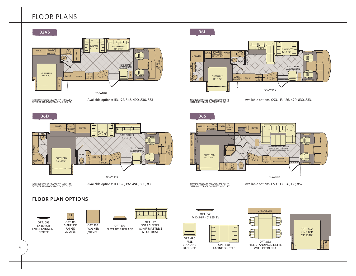# FLOOR PLANS



INTERIOR STORAGE CAPACITY: 144 CU. FT.<br>EXTERIOR STORAGE CAPACITY: 112 CU. FT.

Available options: 113, 192, 345, 490, 830, 833



INTERIOR STORAGE CAPACITY: 145 CU. FT.EXTERIOR STORAGE CAPACITY: 105 CU. FT. Available options: 113, 126, 192, 490, 830, 833

# **FLOOR PLAN OPTIONS**



CENTER

OPT. 113 3-BURNER RANGE W/OVEN

 $\overline{50}$ 







OPT. 192 SOFA SLEEPER& FOOTREST



OPT. 830 FACING DINETTERECLINER





## **36L**



INTERIOR STORAGE CAPACITY: 140 CU. FT.<br>EXTERIOR STORAGE CAPACITY: 118 CU. FT.

Available options: 093, 113, 126, 490, 830, 833,

**36S**



EXTERIOR STORAGE CAPACITY: 100 CU. FT.

INTERIOR STORAGE CAPACITY: 132 CU. FT. **Available options: 093, 113, 126, 139, 852** 

6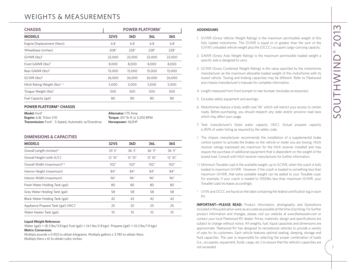# WEIGHTS & MEASUREMENTS

| <b>CHASSIS</b>                                                                                                                                                                                                                                                                                                                                                    |                                                                           |         | <b>POWER PLATFORM®</b> |                 | <b>ADDENDUMS</b>                                                                                                                                                                                                                                                                                                                                                                                                                                                                                                                                                                       |  |  |
|-------------------------------------------------------------------------------------------------------------------------------------------------------------------------------------------------------------------------------------------------------------------------------------------------------------------------------------------------------------------|---------------------------------------------------------------------------|---------|------------------------|-----------------|----------------------------------------------------------------------------------------------------------------------------------------------------------------------------------------------------------------------------------------------------------------------------------------------------------------------------------------------------------------------------------------------------------------------------------------------------------------------------------------------------------------------------------------------------------------------------------------|--|--|
| <b>MODELS</b>                                                                                                                                                                                                                                                                                                                                                     | <b>32VS</b>                                                               | 36D     | 36L                    | 36S             | 1. GVWR (Gross Vehicle Weight Rating) is the maximum permissible weight of this                                                                                                                                                                                                                                                                                                                                                                                                                                                                                                        |  |  |
| Engine Displacement (liters)                                                                                                                                                                                                                                                                                                                                      | 6.8                                                                       | 6.8     | 6.8                    | 6.8             | fully loaded motorhome. The GVWR is equal to or greater than the sum of the                                                                                                                                                                                                                                                                                                                                                                                                                                                                                                            |  |  |
| Wheelbase (inches)                                                                                                                                                                                                                                                                                                                                                | 208"                                                                      | 228"    | 228"                   | 228"            | (UVW) unloaded vehicle weight plus the (OCCC) occupant cargo-carrying capacity.                                                                                                                                                                                                                                                                                                                                                                                                                                                                                                        |  |  |
| GVWR (lbs) <sup>1</sup>                                                                                                                                                                                                                                                                                                                                           | 22,000                                                                    | 22,000  | 22,000                 | 22,000          | 2. GAWR (Gross Axle Weight Rating) is the maximum permissible loaded weight a                                                                                                                                                                                                                                                                                                                                                                                                                                                                                                          |  |  |
| Front GAWR (lbs) <sup>2</sup>                                                                                                                                                                                                                                                                                                                                     | 8,000                                                                     | 8,000   | 8,000                  | 8,000           | specific axle is designed to carry.                                                                                                                                                                                                                                                                                                                                                                                                                                                                                                                                                    |  |  |
| Rear GAWR (lbs) <sup>2</sup>                                                                                                                                                                                                                                                                                                                                      | 15,000                                                                    | 15,000  | 15,000                 | 15,000          | 3. GCWR (Gross Combined Weight Rating) is the value specified by the motorhome<br>manufacturer as the maximum allowable loaded weight of this motorhome with its                                                                                                                                                                                                                                                                                                                                                                                                                       |  |  |
| GCWR (lbs) <sup>3</sup>                                                                                                                                                                                                                                                                                                                                           | 26,000                                                                    | 26,000  | 26,000                 | 26,000          | towed vehicle. Towing and braking capacities may be different. Refer to Fleetwood                                                                                                                                                                                                                                                                                                                                                                                                                                                                                                      |  |  |
| Hitch Rating Weight (lbs) <sup>1,11</sup>                                                                                                                                                                                                                                                                                                                         | 5,000                                                                     | 5,000   | 5,000                  | 5,000           | and chassis manufacturer's manuals for complete information.                                                                                                                                                                                                                                                                                                                                                                                                                                                                                                                           |  |  |
| Tongue Weight (lbs) <sup>†</sup>                                                                                                                                                                                                                                                                                                                                  | 500                                                                       | 500     | 500                    | 500             | 4. Length measured from front bumper to rear bumper (excludes accessories).                                                                                                                                                                                                                                                                                                                                                                                                                                                                                                            |  |  |
| Fuel Capacity (gal)                                                                                                                                                                                                                                                                                                                                               | 80                                                                        | 80      | 80                     | 80              | 5. Excludes safety equipment and awnings.                                                                                                                                                                                                                                                                                                                                                                                                                                                                                                                                              |  |  |
| <b>POWER PLATFORM® CHASSIS</b>                                                                                                                                                                                                                                                                                                                                    |                                                                           |         |                        |                 | 6. Motorhomes feature a body width over 96" which will restrict your access to certain                                                                                                                                                                                                                                                                                                                                                                                                                                                                                                 |  |  |
| Model: Ford®<br>Engine: 6.8L Triton V10<br>Transmission: Ford®, 5-Speed, Automatic w/Overdrive<br><b>DIMENSIONS &amp; CAPACITIES</b>                                                                                                                                                                                                                              | Alternator: 175 Amp<br>Torque: 457 lb-ft @ 3,250 RPM<br>Horsepower: 362HP |         |                        |                 | roads. Before purchasing, you should research any state and/or province road laws<br>which may affect your usage.<br>7. Tank manufacturer's listed water capacity (WC). Actual propane capacity<br>is 80% of water listing as required by the safety code.<br>$\dagger$ The chassis manufacturer recommends the installation of a supplemental brake                                                                                                                                                                                                                                   |  |  |
| <b>MODELS</b>                                                                                                                                                                                                                                                                                                                                                     | <b>32VS</b>                                                               | 36D     | 36L                    | 36S             | control system to activate the brakes on the vehicle or trailer you are towing. Hitch                                                                                                                                                                                                                                                                                                                                                                                                                                                                                                  |  |  |
| Overall Length (inches) <sup>4</sup>                                                                                                                                                                                                                                                                                                                              | 33' 5"                                                                    | 36' 5"  | 36' 11"                | 36' 5"          | receiver ratings expressed are maximum for the hitch receiver installed and may<br>require the purchase of additional equipment that is dependent on the weight of the                                                                                                                                                                                                                                                                                                                                                                                                                 |  |  |
| Overall Height (with A/C)                                                                                                                                                                                                                                                                                                                                         | 12' 10"                                                                   | 12' 10" | 12' 10"                | 12' 10"         | towed load. Consult with hitch receiver manufacturer for further information.                                                                                                                                                                                                                                                                                                                                                                                                                                                                                                          |  |  |
| Overall Width (maximum) <sup>5, 6</sup>                                                                                                                                                                                                                                                                                                                           | 102"                                                                      | 102"    | 102"                   | 102"            | <sup>†</sup> † Minimum Towable Load is the available weight, up to GCWR, when the coach is fully                                                                                                                                                                                                                                                                                                                                                                                                                                                                                       |  |  |
| Interior Height (maximum)                                                                                                                                                                                                                                                                                                                                         | 84"                                                                       | 84"     | 84"                    | 84"             | loaded to maximum GVWR. However, if the coach is loaded to something less than                                                                                                                                                                                                                                                                                                                                                                                                                                                                                                         |  |  |
| Interior Width (maximum)                                                                                                                                                                                                                                                                                                                                          | 96"                                                                       | 96"     | 96"                    | 96"             | maximum GVWR, that extra available weight can be added to your Towable Load.<br>For example, if your coach is loaded to 1000lbs less than maximum GVWR, your                                                                                                                                                                                                                                                                                                                                                                                                                           |  |  |
| Fresh Water Holding Tank (gal)                                                                                                                                                                                                                                                                                                                                    | 80                                                                        | 80      | 80                     | 80              | Towable Load increases accordingly.                                                                                                                                                                                                                                                                                                                                                                                                                                                                                                                                                    |  |  |
| Grey Water Holding Tank (gal)                                                                                                                                                                                                                                                                                                                                     | 58                                                                        | 58      | 58                     | 58              | * UVW and OCCC are found on the label containing the federal certification tag in each                                                                                                                                                                                                                                                                                                                                                                                                                                                                                                 |  |  |
| Black Water Holding Tank (gal)                                                                                                                                                                                                                                                                                                                                    | 42                                                                        | 42      | 42                     | 42              | RV.                                                                                                                                                                                                                                                                                                                                                                                                                                                                                                                                                                                    |  |  |
| Appliance Propane Tank (gal) (WC) <sup>7</sup>                                                                                                                                                                                                                                                                                                                    | 25                                                                        | 25      | 25                     | 25              | <b>IMPORTANT-PLEASE READ:</b> Product information, photography and illustrations                                                                                                                                                                                                                                                                                                                                                                                                                                                                                                       |  |  |
| Water Heater Tank (gal)                                                                                                                                                                                                                                                                                                                                           | 10 <sup>°</sup>                                                           | 10      | 10 <sup>°</sup>        | 10 <sup>°</sup> | included in this publication were as accurate as possible at the time of printing. For further<br>product information and changes, please visit our website at www.fleetwoodrv.com or                                                                                                                                                                                                                                                                                                                                                                                                  |  |  |
| <b>Liquid Weight Reference:</b><br>Water (gal) = $(8.3 \text{ lbs}/3.8 \text{ kgs})$ Fuel (gal) = $(6.1 \text{ lbs}/2.8 \text{ kgs})$ Propane (gal) = $(4.2 \text{ lbs}/1.9 \text{ kgs})$<br><b>Metric Conversion:</b><br>Multiply pounds x 0.453 to obtain kilograms. Multiply gallons x 3.785 to obtain liters.<br>Multiply liters x 61 to obtain cubic inches. |                                                                           |         |                        |                 | contact your local Fleetwood RV dealer. Prices, materials, design and specifications are<br>subject to change without notice. All weights, fuel, liquid capacities and dimensions are<br>approximate. Fleetwood RV has designed its recreational vehicles to provide a variety<br>of uses for its customers. Each vehicle features optimal seating, sleeping, storage and<br>fluid capacities. The user is responsible for selecting the proper combination of loads<br>(i.e., occupants, equipment, fluids, cargo, etc.) to ensure that the vehicle's capacities are<br>not exceeded. |  |  |

| Model: Ford®                                        | <b>Alternator:</b> 175 Amp           |
|-----------------------------------------------------|--------------------------------------|
| <b>Engine:</b> 6.8L Triton V10                      | <b>Torque:</b> 457 lb-ft @ 3,250 RPM |
| Transmission: Ford®, 5-Speed, Automatic w/Overdrive | Horsepower: 362HP                    |

| <b>MODELS</b>                                  | <b>32VS</b> | 36D     | 36L     | 36S     |
|------------------------------------------------|-------------|---------|---------|---------|
| Overall Length (inches) <sup>4</sup>           | 33'5"       | 36'5''  | 36' 11" | 36'5''  |
| Overall Height (with A/C)                      | 12'10''     | 12' 10" | 12'10'' | 12' 10" |
| Overall Width (maximum) <sup>5, 6</sup>        | 102"        | 102"    | 102"    | 102"    |
| Interior Height (maximum)                      | 84"         | 84"     | 84"     | 84"     |
| Interior Width (maximum)                       | 96"         | 96"     | 96"     | 96"     |
| Fresh Water Holding Tank (gal)                 | 80          | 80      | 80      | 80      |
| Grey Water Holding Tank (gal)                  | 58          | 58      | 58      | 58      |
| Black Water Holding Tank (gal)                 | 42          | 42      | 42      | 42      |
| Appliance Propane Tank (gal) (WC) <sup>7</sup> | 25          | 25      | 25      | 25      |
| Water Heater Tank (gal)                        | 10          | 10      | 10      | 10      |

## **ADDENDUMS**

- 1. GVWR (Gross Vehicle Weight Rating) is the maximum permissible weight of this fully loaded motorhome. The GVWR is equal to or greater than the sum of the (UVW) unloaded vehicle weight plus the (OCCC) occupant cargo-carrying capacity.\*
- 2. GAWR (Gross Axle Weight Rating) is the maximum permissible loaded weight a specific axle is designed to carry.
- 3. GCWR (Gross Combined Weight Rating) is the value specified by the motorhome manufacturer as the maximum allowable loaded weight of this motorhome with its towed vehicle. Towing and braking capacities may be different. Refer to Fleetwood and chassis manufacturer's manuals for complete information.
- 4. Length measured from front bumper to rear bumper (excludes accessories).
- 5. Excludes safety equipment and awnings.
- 6. Motorhomes feature a body width over 96" which will restrict your access to certain roads. Before purchasing, you should research any state and/or province road laws which may affect your usage.
- 7. Tank manufacturer's listed water capacity (WC). Actual propane capacity is 80% of water listing as required by the safety code.
- † The chassis manufacturer recommends the installation of a supplemental brake control system to activate the brakes on the vehicle or trailer you are towing. Hitch receiver ratings expressed are maximum for the hitch receiver installed and may require the purchase of additional equipment that is dependent on the weight of the towed load. Consult with hitch receiver manufacturer for further information.
- †† Minimum Towable Load is the available weight, up to GCWR, when the coach is fully loaded to maximum GVWR. However, if the coach is loaded to something less than maximum GVWR, that extra available weight can be added to your Towable Load. For example, if your coach is loaded to 1000lbs less than maximum GVWR, your Towable Load increases accordingly.
- \* UVW and OCCC are found on the label containing the federal certification tag in each RV.